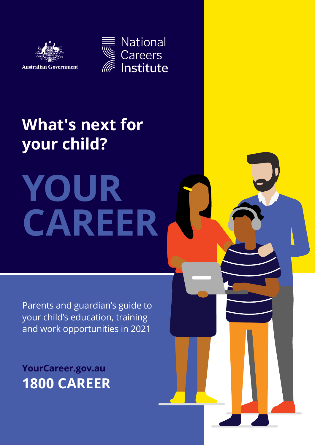

National Careers<br>Institute

### **What's next for your child?**

**YOUR CAREER**

Parents and guardian's guide to your child's education, training and work opportunities in 2021

**[YourCareer.gov.au](http://YourCareer.gov.au) 1800 CAREER**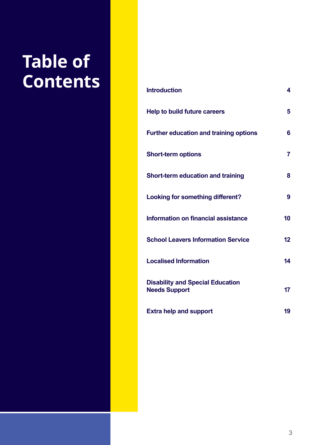### **Table of**   $\overline{\text{Contents}}$

| <b>Introduction</b>                                             | 4              |
|-----------------------------------------------------------------|----------------|
| <b>Help to build future careers</b>                             | 5              |
| <b>Further education and training options</b>                   | 6              |
| <b>Short-term options</b>                                       | $\overline{7}$ |
| Short-term education and training                               | 8              |
| <b>Looking for something different?</b>                         | 9              |
| Information on financial assistance                             | 10             |
| <b>School Leavers Information Service</b>                       | 12             |
| <b>Localised Information</b>                                    | 14             |
| <b>Disability and Special Education</b><br><b>Needs Support</b> | 17             |
| <b>Extra help and support</b>                                   | 19             |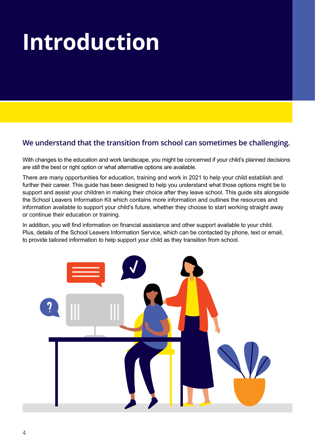# **Introduction**

#### **We understand that the transition from school can sometimes be challenging.**

With changes to the education and work landscape, you might be concerned if your child's planned decisions are still the best or right option or what alternative options are available.

There are many opportunities for education, training and work in 2021 to help your child establish and further their career. This guide has been designed to help you understand what those options might be to support and assist your children in making their choice after they leave school. This guide sits alongside the School Leavers Information Kit which contains more information and outlines the resources and information available to support your child's future, whether they choose to start working straight away or continue their education or training.

In addition, you will find information on financial assistance and other support available to your child. Plus, details of the School Leavers Information Service, which can be contacted by phone, text or email, to provide tailored information to help support your child as they transition from school.

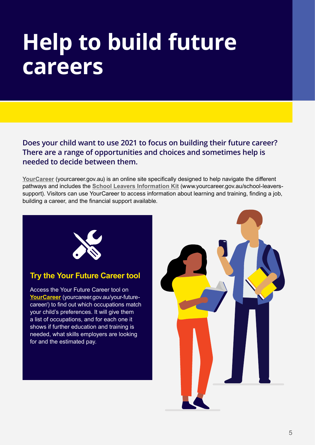### **Help to build future careers**

**Does your child want to use 2021 to focus on building their future career? There are a range of opportunities and choices and sometimes help is needed to decide between them.** 

**[YourCareer](http://yourcareer.gov.au)** (yourcareer.gov.au) is an online site specifically designed to help navigate the different pathways and includes the **School [Leavers Information Kit](http://www.yourcareer.gov.au/school-leavers-support)** (www.yourcareer.gov.au/school-leaverssupport). Visitors can use YourCareer to access information about learning and training, finding a job, building a career, and the financial support available.



#### **Try the Your Future Career tool**

Access the Your Future Career tool on **[YourCareer](http://yourcareer.gov.au/your-future-career/)** (yourcareer.gov.au/your-futurecareer/) to find out which occupations match your child's preferences. It will give them a list of occupations, and for each one it shows if further education and training is needed, what skills employers are looking for and the estimated pay.

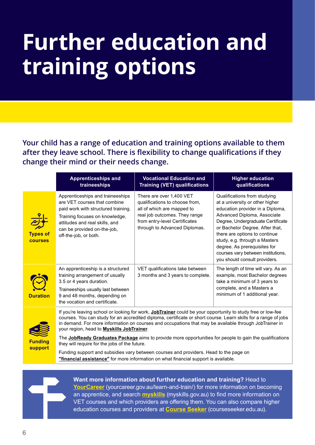# **Further education and training options**

**Your child has a range of education and training options available to them after they leave school. There is flexibility to change qualifications if they change their mind or their needs change.**

|                                   | <b>Apprenticeships and</b><br>traineeships                                                                                                                                                                                          | <b>Vocational Education and</b><br><b>Training (VET) qualifications</b>                                                                                                                     | <b>Higher education</b><br>qualifications                                                                                                                                                                                                                                                                                                                                           |  |
|-----------------------------------|-------------------------------------------------------------------------------------------------------------------------------------------------------------------------------------------------------------------------------------|---------------------------------------------------------------------------------------------------------------------------------------------------------------------------------------------|-------------------------------------------------------------------------------------------------------------------------------------------------------------------------------------------------------------------------------------------------------------------------------------------------------------------------------------------------------------------------------------|--|
| <b>Types of</b><br><b>courses</b> | Apprenticeships and traineeships<br>are VET courses that combine<br>paid work with structured training.<br>Training focuses on knowledge,<br>attitudes and real skills, and<br>can be provided on-the-job,<br>off-the-job, or both. | There are over 1,400 VET<br>qualifications to choose from,<br>all of which are mapped to<br>real job outcomes. They range<br>from entry-level Certificates<br>through to Advanced Diplomas. | Qualifications from studying<br>at a university or other higher<br>education provider in a Diploma,<br>Advanced Diploma, Associate<br>Degree, Undergraduate Certificate<br>or Bachelor Degree. After that,<br>there are options to continue<br>study, e.g. through a Masters<br>degree. As prerequisites for<br>courses vary between institutions,<br>you should consult providers. |  |
| <b>Duration</b>                   | An apprenticeship is a structured<br>training arrangement of usually<br>3.5 or 4 years duration.<br>Traineeships usually last between<br>9 and 48 months, depending on<br>the vocation and certificate.                             | VET qualifications take between<br>3 months and 3 years to complete.                                                                                                                        | The length of time will vary. As an<br>example, most Bachelor degrees<br>take a minimum of 3 years to<br>complete, and a Masters a<br>minimum of 1 additional year.                                                                                                                                                                                                                 |  |
|                                   | If you're leaving school or looking for work, JobTrainer could be your opportunity to study free or low-fee<br>courses. You can study for an accredited diploma, certificate or short course. Learn skills for a range of jobs      |                                                                                                                                                                                             |                                                                                                                                                                                                                                                                                                                                                                                     |  |



The **[JobReady Graduates Package](https://www.dese.gov.au/job-ready/announcements/job-ready-graduates-package)** aims to provide more opportunities for people to gain the qualifications they will require for the jobs of the future.

in demand. For more information on courses and occupations that may be available through JobTrainer in

Funding support and subsidies vary between courses and providers. Head to the page on **["financial assistance"](#page-8-0)** for more information on what financial support is available.

your region, head to **[Myskills JobTrainer](https://www.myskills.gov.au/jobtrainer)**.



**Want more information about further education and training?** Head to **[YourCareer](http://yourcareer.gov.au/learn-and-train/)** (yourcareer.gov.au/learn-and-train/) for more information on becoming an apprentice, and search **[myskills](http://myskills.gov.au)** (myskills.gov.au) to find more information on VET courses and which providers are offering them. You can also compare higher education courses and providers at **[Course Seeker](http://courseseeker.edu.au)** (courseseeker.edu.au).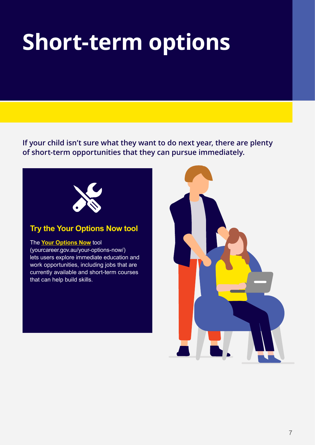## **Short-term options**

**If your child isn't sure what they want to do next year, there are plenty of short-term opportunities that they can pursue immediately.**



#### **Try the Your Options Now tool**

#### The **[Your Options Now](http://yourcareer.gov.au/your-options-now/)** tool

(yourcareer.gov.au/your-options-now/) lets users explore immediate education and work opportunities, including jobs that are currently available and short-term courses that can help build skills.

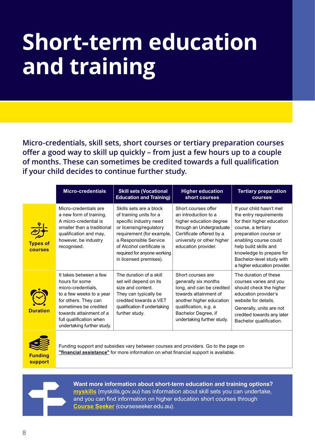### **Short-term education and training**

**Micro-credentials, skill sets, short courses or tertiary preparation courses offer a good way to skill up quickly – from just a few hours up to a couple of months. These can sometimes be credited towards a full qualification if your child decides to continue further study.**

|                                   | <b>Micro-credentials</b>                                                                                                                                                                                                        | <b>Skill sets (Vocational</b><br><b>Education and Training)</b>                                                                                                                                                                                     | <b>Higher education</b><br>short courses                                                                                                                                                                  | <b>Tertiary preparation</b><br><b>courses</b>                                                                                                                                                                                                                              |  |
|-----------------------------------|---------------------------------------------------------------------------------------------------------------------------------------------------------------------------------------------------------------------------------|-----------------------------------------------------------------------------------------------------------------------------------------------------------------------------------------------------------------------------------------------------|-----------------------------------------------------------------------------------------------------------------------------------------------------------------------------------------------------------|----------------------------------------------------------------------------------------------------------------------------------------------------------------------------------------------------------------------------------------------------------------------------|--|
| <b>Types of</b><br><b>courses</b> | Micro-credentials are<br>a new form of training.<br>A micro-credential is<br>smaller than a traditional<br>qualification and may,<br>however, be industry<br>recognised.                                                        | Skills sets are a block<br>of training units for a<br>specific industry need<br>or licensing/regulatory<br>requirement (for example,<br>a Responsible Service<br>of Alcohol certificate is<br>required for anyone working<br>in licensed premises). | Short courses offer<br>an introduction to a<br>higher education degree<br>through an Undergraduate<br>Certificate offered by a<br>university or other higher<br>education provider.                       | If your child hasn't met<br>the entry requirements<br>for their higher education<br>course, a tertiary<br>preparation course or<br>enabling course could<br>help build skills and<br>knowledge to prepare for<br>Bachelor-level study with<br>a higher education provider. |  |
| <b>Duration</b>                   | It takes between a few<br>hours for some<br>micro-credentials,<br>to a few weeks to a year<br>for others. They can<br>sometimes be credited<br>towards attainment of a<br>full qualification when<br>undertaking further study. | The duration of a skill<br>set will depend on its<br>size and content.<br>They can typically be<br>credited towards a VET<br>qualification if undertaking<br>further study.                                                                         | Short courses are<br>generally six months<br>long, and can be credited<br>towards attainment of<br>another higher education<br>qualification, e.g. a<br>Bachelor Degree, if<br>undertaking further study. | The duration of these<br>courses varies and you<br>should check the higher<br>education provider's<br>website for details.<br>Generally, units are not<br>credited towards any later<br>Bachelor qualification.                                                            |  |
|                                   | Funding support and subsidies vary between courses and providers. Go to the page on                                                                                                                                             |                                                                                                                                                                                                                                                     |                                                                                                                                                                                                           |                                                                                                                                                                                                                                                                            |  |

**Funding ["financial assistance"](#page-8-0)** for more information on what financial support is available.



**support**

**Want more information about short-term education and training options? [myskills](http://myskills.gov.au)** (myskills.gov.au) has information about skill sets you can undertake, and you can find information on higher education short courses through **[Course Seeker](http://courseseeker.edu.au)** (courseseeker.edu.au).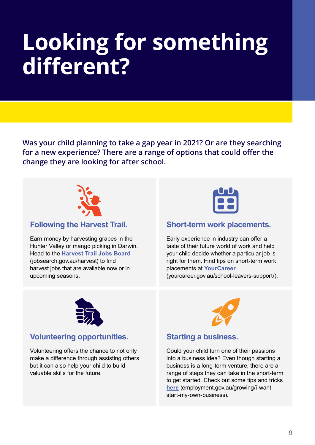### **Looking for something different?**

**Was your child planning to take a gap year in 2021? Or are they searching for a new experience? There are a range of options that could offer the change they are looking for after school.**



#### **Following the Harvest Trail.**

Earn money by harvesting grapes in the Hunter Valley or mango picking in Darwin. Head to the **[Harvest Trail Jobs Board](http://jobsearch.gov.au/harvest)** (jobsearch.gov.au/harvest) to find harvest jobs that are available now or in upcoming seasons.



#### **Short-term work placements.**

Early experience in industry can offer a taste of their future world of work and help your child decide whether a particular job is right for them. Find tips on short-term work placements at **[YourCareer](http://yourcareer.gov.au/school-leavers-support/)**

(yourcareer.gov.au/school-leavers-support/).



#### **Volunteering opportunities.**

Volunteering offers the chance to not only make a difference through assisting others but it can also help your child to build valuable skills for the future.



#### **Starting a business.**

Could your child turn one of their passions into a business idea? Even though starting a business is a long-term venture, there are a range of steps they can take in the short-term to get started. Check out some tips and tricks **[here](http://employment.gov.au/growing/i-want-start-my-own-business)** (employment.gov.au/growing/i-wantstart-my-own-business).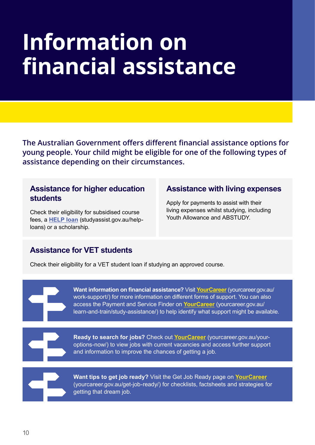## <span id="page-8-0"></span>**Information on financial assistance**

**The Australian Government offers different financial assistance options for young people. Your child might be eligible for one of the following types of assistance depending on their circumstances.**

#### **Assistance for higher education students**

Check their eligibility for subsidised course fees, a **[HELP loan](http://studyassist.gov.au/help-loans)** [\(studyassist.gov.au/help](http://www.studyassist.gov.au/help-loans)[loans](http://www.studyassist.gov.au/help-loans)) or a scholarship.

#### **Assistance with living expenses**

Apply for payments to assist with their living expenses whilst studying, including Youth Allowance and ABSTUDY.

#### **Assistance for VET students**

Check their eligibility for a VET student loan if studying an approved course.

**Want information on financial assistance?** Visit **[YourCareer](http://yourcareer.gov.au/work-support/)** (yourcareer.gov.au/ work-support/) for more information on different forms of support. You can also access the Payment and Service Finder on **[YourCareer](http://yourcareer.gov.au/learn-and-train/study-assistance/)** (yourcareer.gov.au/ learn-and-train/study-assistance/) to help identify what support might be available.

**Ready to search for jobs?** Check out **[YourCareer](http://yourcareer.gov.au/your-options-now/)** (yourcareer.gov.au/youroptions-now/) to view jobs with current vacancies and access further support and information to improve the chances of getting a job.



**Want tips to get job ready?** Visit the Get Job Ready page on **[YourCareer](http://yourcareer.gov.au/get-job-ready/)** (yourcareer.gov.au/get-job-ready/) for checklists, factsheets and strategies for getting that dream job.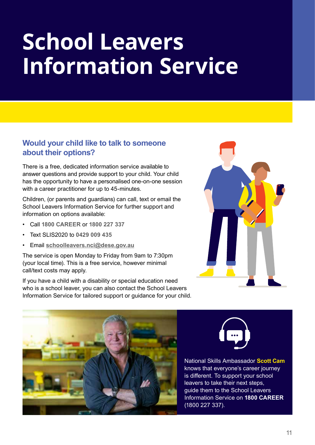### **School Leavers Information Service**

#### **Would your child like to talk to someone about their options?**

There is a free, dedicated information service available to answer questions and provide support to your child. Your child has the opportunity to have a personalised one-on-one session with a career practitioner for up to 45-minutes.

Children, (or parents and guardians) can call, text or email the School Leavers Information Service for further support and information on options available:

- Call **1800 CAREER** or **1800 227 337**
- Text SLIS2020 to **0429 009 435**
- Email **[schoolleavers.nci@dese.gov.au](mailto:schoolleavers.nci%40dese.gov.au?subject=)**

The service is open Monday to Friday from 9am to 7:30pm (your local time). This is a free service, however minimal call/text costs may apply.

If you have a child with a disability or special education need who is a school leaver, you can also contact the School Leavers Information Service for tailored support or guidance for your child.





National Skills Ambassador **Scott Cam** knows that everyone's career journey is different. To support your school leavers to take their next steps, guide them to the School Leavers Information Service on **1800 CAREER** (1800 227 337).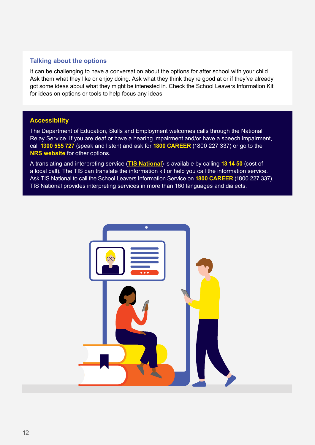#### **Talking about the options**

It can be challenging to have a conversation about the options for after school with your child. Ask them what they like or enjoy doing. Ask what they think they're good at or if they've already got some ideas about what they might be interested in. Check the School Leavers Information Kit for ideas on options or tools to help focus any ideas.

#### **Accessibility**

The Department of Education, Skills and Employment welcomes calls through the National Relay Service. If you are deaf or have a hearing impairment and/or have a speech impairment, call **1300 555 727** (speak and listen) and ask for **1800 CAREER** (1800 227 337) or go to the **[NRS website](https://www.communications.gov.au/what-we-do/phone/services-people-disability/accesshub)** for other options.

A translating and interpreting service (**[TIS National](https://www.tisnational.gov.au/)**) is available by calling **13 14 50** (cost of a local call). The TIS can translate the information kit or help you call the information service. Ask TIS National to call the School Leavers Information Service on **1800 CAREER** (1800 227 337). TIS National provides interpreting services in more than 160 languages and dialects.

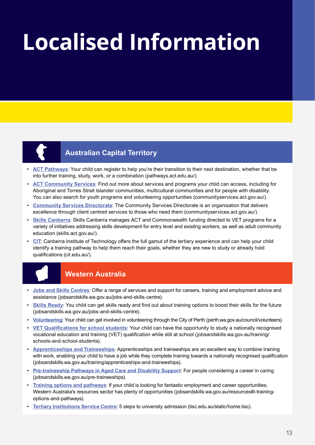# **Localised Information**



#### **Australian Capital Territory**

- **[ACT Pathways](http://pathways.act.edu.au/)**: Your child can register to help you're their transition to their next destination, whether that be into further training, study, work, or a combination (pathways.act.edu.au/).
- **[ACT Community Services](http://communityservices.act.gov.au/)**: Find out more about services and programs your child can access, including for Aboriginal and Torres Strait Islander communities, multicultural communities and for people with disability. You can also search for youth programs and volunteering opportunities (communityservices.act.gov.au/).
- **[Community Services Directorate](http://communityservices.act.gov.au/)**: The Community Services Directorate is an organisation that delivers excellence through client centred services to those who need them (communityservices.act.gov.au/).
- **[Skills Canberra](http://skills.act.gov.au/)**: Skills Canberra manages ACT and Commonwealth funding directed to VET programs for a variety of initiatives addressing skills development for entry level and existing workers, as well as adult community education (skills.act.gov.au/).
- **[CIT](http://cit.edu.au/)**: Canberra Institute of Technology offers the full gamut of the tertiary experience and can help your child identify a training pathway to help them reach their goals, whether they are new to study or already hold qualifications (cit.edu.au/).



#### **Western Australia**

- **[Jobs and Skills Centres](http://jobsandskills.wa.gov.au/jobs-and-skills-centre)**: Offer a range of services and support for careers, training and employment advice and assistance (jobsandskills.wa.gov.au/jobs-and-skills-centre).
- **[Skills Ready](http://jobsandskills.wa.gov.au/jobs-and-skills-centre)**: You child can get skills ready and find out about training options to boost their skills for the future (jobsandskills.wa.gov.au/jobs-and-skills-centre).
- **[Volunteering](http://perth.wa.gov.au/council/volunteers)**: Your child can get involved in volunteering through the City of Perth (perth.wa.gov.au/council/volunteers).
- **[VET Qualifications for school students](http://jobsandskills.wa.gov.au/training/schools-and-school-students)**: Your child can have the opportunity to study a nationally recognised vocational education and training (VET) qualification while still at school (jobsandskills.wa.gov.au/training/ schools-and-school-students).
- **[Apprenticeships and Traineeships](http://jobsandskills.wa.gov.au/training/apprenticeships-and-traineeships)**: Apprenticeships and traineeships are an excellent way to combine training with work, enabling your child to have a job while they complete training towards a nationally recognised qualification (jobsandskills.wa.gov.au/training/apprenticeships-and-traineeships).
- **[Pre-traineeship Pathways in Aged Care and Disability Support](http://jobsandskills.wa.gov.au/pre-traineeships)**: For people considering a career in caring (jobsandskills.wa.gov.au/pre-traineeships).
- **[Training options and pathways](http://jobsandskills.wa.gov.au/resources#i-training-options-and-pathways)**: If your child is looking for fantastic employment and career opportunities, Western Australia's resources sector has plenty of opportunities (jobsandskills.wa.gov.au/resources#i-trainingoptions-and-pathways).
- **[Tertiary Institutions Service Centre](http://tisc.edu.au/static/home.tisc)**: 5 steps to university admission (tisc.edu.au/static/home.tisc).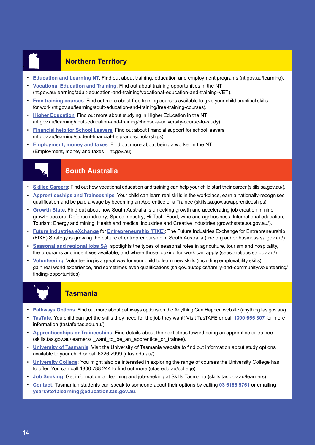#### • **Northern Territory**

- **[Education and Learning NT](http://nt.gov.au/learning)**: Find out about training, education and employment programs (nt.gov.au/learning).
- **[Vocational Education and Training](http://nt.gov.au/learning/adult-education-and-training/vocational-education-and-training-VET)**: Find out about training opportunities in the NT (nt.gov.au/learning/adult-education-and-training/vocational-education-and-training-VET).
- **[Free training courses](http://nt.gov.au/learning/adult-education-and-training/free-training-courses)**: Find out more about free training courses available to give your child practical skills for work (nt.gov.au/learning/adult-education-and-training/free-training-courses).
- **[Higher Education](http://nt.gov.au/learning/adult-education-and-training/choose-a-university-course-to-study)**: Find out more about studying in Higher Education in the NT (nt.gov.au/learning/adult-education-and-training/choose-a-university-course-to-study).
- **[Financial help for School Leavers](http://nt.gov.au/learning/student-financial-help-and-scholarships)**: Find out about financial support for school leavers (nt.gov.au/learning/student-financial-help-and-scholarships).
- **[Employment, money and taxes](https://nt.gov.au/employ)**: Find out more about being a worker in the NT (Employment, money and taxes – nt.gov.au).



#### **South Australia**

- **[Skilled Careers](http://skills.sa.gov.au/)**: Find out how vocational education and training can help your child start their career (skills.sa.gov.au/).
- **[Apprenticeships and Traineeships](http://skills.sa.gov.au/apprenticeships)**: Your child can learn real skills in the workplace, earn a nationally-recognised qualification and be paid a wage by becoming an Apprentice or a Trainee (skills.sa.gov.au/apprenticeships).
- **[Growth State](http://growthstate.sa.gov.au/)**: Find out about how South Australia is unlocking growth and accelerating job creation in nine growth sectors: Defence industry; Space industry; Hi-Tech; Food, wine and agribusiness; International education; Tourism; Energy and mining; Health and medical industries and Creative industries (growthstate.sa.gov.au/).
- **[Future Industries eXchange](http://fixe.org.au/)** for **[Entrepreneurship \(FIXE\)](http://business.sa.gov.au/)**: The Future Industries Exchange for Entrepreneurship (FIXE) Strategy is growing the culture of entrepreneurship in South Australia (fixe.org.au/ or business.sa.gov.au/).
- **[Seasonal and regional jobs SA](http://seasonaljobs.sa.gov.au/)**: spotlights the types of seasonal roles in agriculture, tourism and hospitality, the programs and incentives available, and where those looking for work can apply (seasonaljobs.sa.gov.au/).
- **[Volunteering](http://sa.gov.au/topics/family-and-community/volunteering/finding-opportunities)**: Volunteering is a great way for your child to learn new skills (including employability skills), gain real world experience, and sometimes even qualifications (sa.gov.au/topics/family-and-community/volunteering/ finding-opportunities).



#### **Tasmania**

- **[Pathways Options](http://anything.tas.gov.au/)**: Find out more about pathways options on the Anything Can Happen website (anything.tas.gov.au/).
- **[TasTafe](http://tastafe.tas.edu.au/)**: You child can get the skills they need for the job they want! Visit TasTAFE or call **1300 655 307** for more information (tastafe.tas.edu.au/).
- **[Apprenticeships or Traineeships](http://skills.tas.gov.au/learners/I_want_to_be_an_apprentice_or_trainee)**: Find details about the next steps toward being an apprentice or trainee (skills.tas.gov.au/learners/I\_want\_to\_be\_an\_apprentice\_or\_trainee).
- **[University of Tasmania](http://utas.edu.au/)**: Visit the University of Tasmania website to find out information about study options available to your child or call 6226 2999 (utas.edu.au/).
- **[University College](http://utas.edu.au/college)**: You might also be interested in exploring the range of courses the University College has to offer. You can call 1800 788 244 to find out more (utas.edu.au/college).
- **[Job Seeking](http://skills.tas.gov.au/learners)**: Get information on learning and job-seeking at Skills Tasmania (skills.tas.gov.au/learners).
- **Contact**: Tasmanian students can speak to someone about their options by calling **03 6165 5761** or emailing **[years9to12learning@education.tas.gov.au](mailto:years9to12learning%40education.tas.gov.au?subject=)**.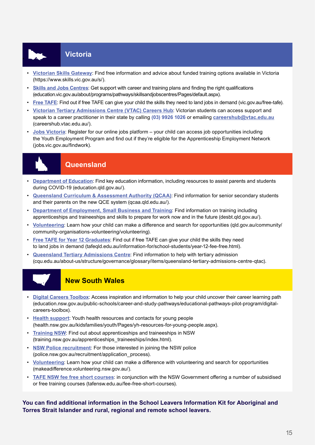#### • **Victoria**

- **[Victorian Skills Gateway](https://www.skills.vic.gov.au/s/)**: Find free information and advice about funded training options available in Victoria (https://www.skills.vic.gov.au/s/).
- **[Skills and Jobs Centres](http://education.vic.gov.au/about/programs/pathways/skillsandjobscentres/Pages/default.aspx)**: Get support with career and training plans and finding the right qualifications (education.vic.gov.au/about/programs/pathways/skillsandjobscentres/Pages/default.aspx).
- **[Free TAFE](http://vic.gov.au/free-tafe)**: Find out if free TAFE can give your child the skills they need to land jobs in demand (vic.gov.au/free-tafe).
- **[Victorian Tertiary Admissions Centre \(VTAC\) Careers Hub](http://careershub.vtac.edu.au/)**: Victorian students can access support and speak to a career practitioner in their state by calling **(03) 9926 1026** or emailing **[careershub@vtac.edu.au](mailto:careershub%40vtac.edu.au?subject=)** (careershub.vtac.edu.au/).
- **[Jobs Victoria](http://jobs.vic.gov.au/findwork)**: Register for our online jobs platform your child can access job opportunities including the Youth Employment Program and find out if they're eligible for the Apprenticeship Employment Network (jobs.vic.gov.au/findwork).



#### **Queensland**

- **[Department of Education](http://education.qld.gov.au/)**: Find key education information, including resources to assist parents and students during COVID-19 (education.qld.gov.au/).
- **[Queensland Curriculum & Assessment Authority \(QCAA\)](http://qcaa.qld.edu.au/)**: Find information for senior secondary students and their parents on the new QCE system (qcaa.qld.edu.au/).
- **[Department of Employment, Small Business and Training](http://desbt.qld.gov.au/)**: Find information on training including apprenticeships and traineeships and skills to prepare for work now and in the future (desbt.qld.gov.au/).
- **[Volunteering](http://qld.gov.au/community/community-organisations-volunteering/volunteering)**: Learn how your child can make a difference and search for opportunities (qld.gov.au/community/ community-organisations-volunteering/volunteering).
- **[Free TAFE for Year 12 Graduates](http://tafeqld.edu.au/information-for/school-students/year-12-fee-free.html)**: Find out if free TAFE can give your child the skills they need to land jobs in demand (tafeqld.edu.au/information-for/school-students/year-12-fee-free.html).
- **[Queensland Tertiary Admissions Centre](http://cqu.edu.au/about-us/structure/governance/glossary/items/queensland-tertiary-admissions-centre-qtac)**: Find information to help with tertiary admission (cqu.edu.au/about-us/structure/governance/glossary/items/queensland-tertiary-admissions-centre-qtac).



#### **New South Wales**

- **[Digital Careers Toolbox](http://education.nsw.gov.au/public-schools/career-and-study-pathways/educational-pathways-pilot-program/digital-careers-toolbox)**: Access inspiration and information to help your child uncover their career learning path (education.nsw.gov.au/public-schools/career-and-study-pathways/educational-pathways-pilot-program/digitalcareers-toolbox).
- **[Health support](http://health.nsw.gov.au/kidsfamilies/youth/Pages/yh-resources-for-young-people.aspx)**: Youth health resources and contacts for young people (health.nsw.gov.au/kidsfamilies/youth/Pages/yh-resources-for-young-people.aspx).
- **[Training NSW](http://training.nsw.gov.au/apprenticeships_traineeships/index.html)**: Find out about apprenticeships and traineeships in NSW (training.nsw.gov.au/apprenticeships\_traineeships/index.html).
- **[NSW Police recruitment](http://police.nsw.gov.au/recruitment/application_process)**: For those interested in joining the NSW police (police.nsw.gov.au/recruitment/application\_process).
- **[Volunteering](http://makeadifference.volunteering.nsw.gov.au/)**: Learn how your child can make a difference with volunteering and search for opportunities (makeadifference.volunteering.nsw.gov.au/).
- **[TAFE NSW fee free short courses](http://tafensw.edu.au/fee-free-short-courses)**: in conjunction with the NSW Government offering a number of subsidised or free training courses (tafensw.edu.au/fee-free-short-courses).

#### **You can find additional information in the School Leavers Information Kit for Aboriginal and Torres Strait Islander and rural, regional and remote school leavers.**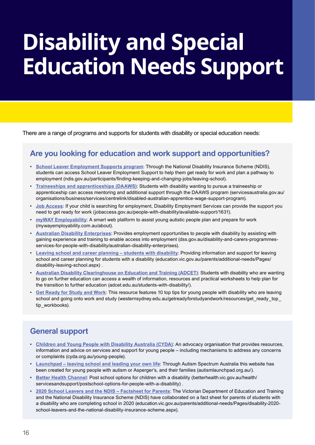## **Disability and Special Education Needs Support**

There are a range of programs and supports for students with disability or special education needs:

#### **Are you looking for education and work support and opportunities?**

- **[School Leaver Employment Supports program](http://ndis.gov.au/participants/finding-keeping-and-changing-jobs/leaving-school)**: Through the National Disability Insurance Scheme (NDIS), students can access School Leaver Employment Support to help them get ready for work and plan a pathway to employment (ndis.gov.au/participants/finding-keeping-and-changing-jobs/leaving-school).
- **[Traineeships and apprenticeships \(DAAWS\)](http://servicesaustralia.gov.au/organisations/business/services/centrelink/disabled-australian-apprentice-wage-support-program)**: Students with disability wanting to pursue a traineeship or apprenticeship can access mentoring and additional support through the DAAWS program (servicesaustralia.gov.au/ organisations/business/services/centrelink/disabled-australian-apprentice-wage-support-program).
- **[Job Access](http://jobaccess.gov.au/people-with-disability/available-support/1631)**: If your child is searching for employment, Disability Employment Services can provide the support you need to get ready for work (jobaccess.gov.au/people-with-disability/available-support/1631).
- **[myWAY Employability](http://mywayemployability.com.au/about)**: A smart web platform to assist young autistic people plan and prepare for work (mywayemployability.com.au/about).
- **[Australian Disability Enterprises](http://dss.gov.au/disability-and-carers-programmes-services-for-people-with-disability/australian-disability-enterprises)**: Provides employment opportunities to people with disability by assisting with gaining experience and training to enable access into employment (dss.gov.au/disability-and-carers-programmesservices-for-people-with-disability/australian-disability-enterprises).
- **[Leaving school and career planning students with disability](http://education.vic.gov.au/parents/additional-needs/Pages/disability-leaving-school.aspx)**: Providing information and support for leaving school and career planning for students with a disability (education.vic.gov.au/parents/additional-needs/Pages/ disability-leaving-school.aspx) .
- **[Australian Disability Clearinghouse on Education and Training \(ADCET\)](http://adcet.edu.au/students-with-disability/)**: Students with disability who are wanting to go on further education can access a wealth of information, resources and practical worksheets to help plan for the transition to further education (adcet.edu.au/students-with-disability/).
- **[Get Ready for Study and Work](http://westernsydney.edu.au/getreadyforstudyandwork/resources/get_ready_top_tip_workbooks)**: This resource features 10 top tips for young people with disability who are leaving school and going onto work and study (westernsydney.edu.au/getreadyforstudyandwork/resources/get\_ready\_top\_ tip\_workbooks).

#### **General support**

- **[Children and Young People with Disability Australia \(CYDA\)](http://cyda.org.au/young-people)**: An advocacy organisation that provides resources, information and advice on services and support for young people – including mechanisms to address any concerns or complaints (cyda.org.au/young-people).
- **[Launchpad leaving school and leading your own life](http://autismlaunchpad.org.au/)**: Through Autism Spectrum Australia this website has been created for young people with autism or Asperger's, and their families (autismlaunchpad.org.au/).
- **[Better Health Channel](http://betterhealth.vic.gov.au/health/servicesandsupport/postschool-options-for-people-with-a-disability)**: Post school options for children with a disability (betterhealth.vic.gov.au/health/ servicesandsupport/postschool-options-for-people-with-a-disability) .
- **[2020 School Leavers and the NDIS Factsheet for Parents](http://education.vic.gov.au/parents/additional-needs/Pages/disability-2020-school-leavers-and-the-national-disability-insurance-scheme.aspx)**: The Victorian Department of Education and Training and the National Disability Insurance Scheme (NDIS) have collaborated on a fact sheet for parents of students with a disability who are completing school in 2020 (education.vic.gov.au/parents/additional-needs/Pages/disability-2020 school-leavers-and-the-national-disability-insurance-scheme.aspx).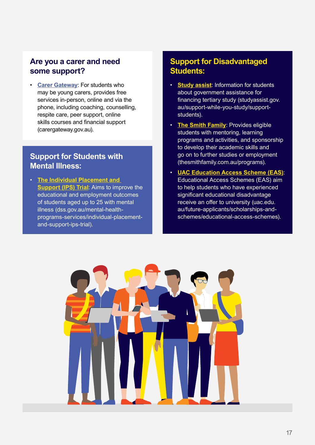#### **Are you a carer and need some support?**

• **[Carer Gateway](http://carergateway.gov.au)**: For students who may be young carers, provides free services in-person, online and via the phone, including coaching, counselling, respite care, peer support, online skills courses and financial support (carergateway.gov.au).

#### **Support for Students with Mental Illness:**

• **[The Individual Placement and](http://dss.gov.au/mental-health-programs-services/individual-placement-and-support-ips-trial)  [Support \(IPS\) Trial](http://dss.gov.au/mental-health-programs-services/individual-placement-and-support-ips-trial)**: Aims to improve the educational and employment outcomes of students aged up to 25 with mental illness (dss.gov.au/mental-healthprograms-services/individual-placementand-support-ips-trial).

#### **Support for Disadvantaged Students:**

- **[Study assist](http://studyassist.gov.au/support-while-you-study/support-students)**: Information for students about government assistance for financing tertiary study (studyassist.gov. au/support-while-you-study/supportstudents).
- **[The Smith Family](http://thesmithfamily.com.au/programs)**: Provides eligible students with mentoring, learning programs and activities, and sponsorship to develop their academic skills and go on to further studies or employment (thesmithfamily.com.au/programs).
- **[UAC Education Access Scheme \(EAS\)](http://uac.edu.au/future-applicants/scholarships-and-schemes/educational-access-schemes)**: Educational Access Schemes (EAS) aim to help students who have experienced significant educational disadvantage receive an offer to university (uac.edu. au/future-applicants/scholarships-andschemes/educational-access-schemes).

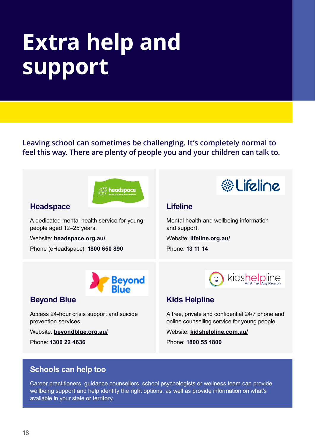# **Extra help and support**

**Leaving school can sometimes be challenging. It's completely normal to feel this way. There are plenty of people you and your children can talk to.**



#### **Headspace**

A dedicated mental health service for young people aged 12–25 years.

Website: **[headspace.org.au/](http://www.headspace.org.au/)**

Phone (eHeadspace): **1800 650 890**



#### **Lifeline**

Mental health and wellbeing information and support.

Website: **[lifeline.org.au/](http://www.lifeline.org.au/)**

Phone: **13 11 14**



#### **Beyond Blue**

Access 24-hour crisis support and suicide prevention services.

Website: **[beyondblue.org.au/](http://www.beyondblue.org.au/)**

Phone: **1300 22 4636**



#### **Kids Helpline**

A free, private and confidential 24/7 phone and online counselling service for young people.

Website: **[kidshelpline.com.au/](http://www.kidshelpline.com.au/)**

Phone: **1800 55 1800**

#### **Schools can help too**

Career practitioners, guidance counsellors, school psychologists or wellness team can provide wellbeing support and help identify the right options, as well as provide information on what's available in your state or territory.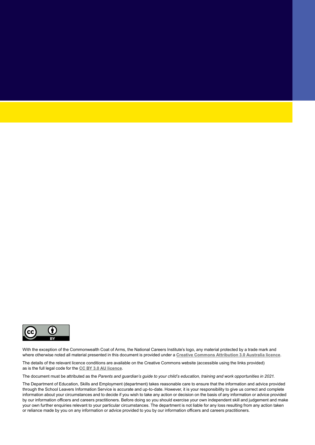

With the exception of the Commonwealth Coat of Arms, the National Careers Institute's logo, any material protected by a trade mark and where otherwise noted all material presented in this document is provided under a **[Creative Commons Attribution 3.0 Australia](http://creativecommons.org/licenses/by/3.0/au/) licence**.

The details of the relevant licence conditions are available on the Creative Commons website (accessible using the links provided) as is the full legal code for the **[CC BY 3.0 AU licence](http://creativecommons.org/licenses/by/3.0/au/legalcode)**.

The document must be attributed as the *Parents and guardian's guide to your child's education, training and work opportunities in 2021*.

The Department of Education, Skills and Employment (department) takes reasonable care to ensure that the information and advice provided through the School Leavers Information Service is accurate and up-to-date. However, it is your responsibility to give us correct and complete information about your circumstances and to decide if you wish to take any action or decision on the basis of any information or advice provided by our information officers and careers practitioners. Before doing so you should exercise your own independent skill and judgement and make your own further enquiries relevant to your particular circumstances. The department is not liable for any loss resulting from any action taken or reliance made by you on any information or advice provided to you by our information officers and careers practitioners.